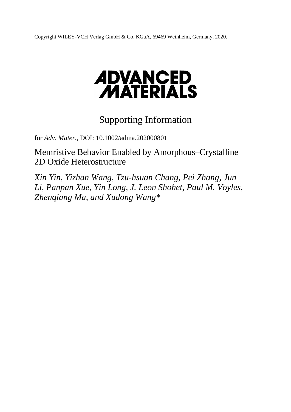Copyright WILEY-VCH Verlag GmbH & Co. KGaA, 69469 Weinheim, Germany, 2020.

# **ADVANCED<br>MATERIALS**

# Supporting Information

for *Adv. Mater.,* DOI: 10.1002/adma.202000801

Memristive Behavior Enabled by Amorphous–Crystalline 2D Oxide Heterostructure

*Xin Yin, Yizhan Wang, Tzu-hsuan Chang, Pei Zhang, Jun Li, Panpan Xue, Yin Long, J. Leon Shohet, Paul M. Voyles, Zhenqiang Ma, and Xudong Wang\**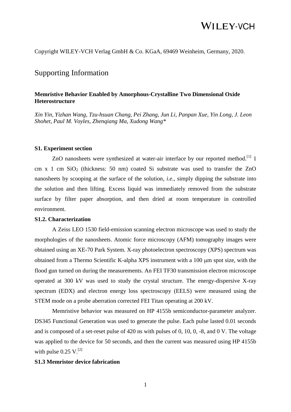Copyright WILEY-VCH Verlag GmbH & Co. KGaA, 69469 Weinheim, Germany, 2020.

### Supporting Information

#### **Memristive Behavior Enabled by Amorphous-Crystalline Two Dimensional Oxide Heterostructure**

*Xin Yin, Yizhan Wang, Tzu-hsuan Chang, Pei Zhang, Jun Li, Panpan Xue, Yin Long, J. Leon Shohet, Paul M. Voyles, Zhenqiang Ma, Xudong Wang\**

#### **S1. Experiment section**

ZnO nanosheets were synthesized at water-air interface by our reported method.<sup>[1]</sup> 1 cm x 1 cm  $SiO<sub>2</sub>$  (thickness: 50 nm) coated Si substrate was used to transfer the ZnO nanosheets by scooping at the surface of the solution, *i.e.*, simply dipping the substrate into the solution and then lifting. Excess liquid was immediately removed from the substrate surface by filter paper absorption, and then dried at room temperature in controlled environment.

#### **S1.2. Characterization**

A Zeiss LEO 1530 field-emission scanning electron microscope was used to study the morphologies of the nanosheets. Atomic force microscopy (AFM) tomography images were obtained using an XE-70 Park System. X-ray photoelectron spectroscopy (XPS) spectrum was obtained from a Thermo Scientific K-alpha XPS instrument with a  $100 \mu m$  spot size, with the flood gun turned on during the measurements. An FEI TF30 transmission electron microscope operated at 300 kV was used to study the crystal structure. The energy-dispersive X-ray spectrum (EDX) and electron energy loss spectroscopy (EELS) were measured using the STEM mode on a probe aberration corrected FEI Titan operating at 200 kV.

Memristive behavior was measured on HP 4155b semiconductor-parameter analyzer. DS345 Functional Generation was used to generate the pulse. Each pulse lasted 0.01 seconds and is composed of a set-reset pulse of 420 ns with pulses of 0, 10, 0, -8, and 0 V. The voltage was applied to the device for 50 seconds, and then the current was measured using HP 4155b with pulse  $0.25$  V.<sup>[2]</sup>

#### **S1.3 Memristor device fabrication**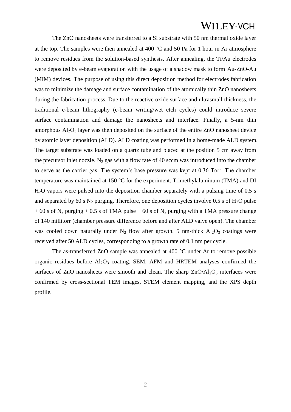The ZnO nanosheets were transferred to a Si substrate with 50 nm thermal oxide layer at the top. The samples were then annealed at 400  $^{\circ}$ C and 50 Pa for 1 hour in Ar atmosphere to remove residues from the solution-based synthesis. After annealing, the Ti/Au electrodes were deposited by e-beam evaporation with the usage of a shadow mask to form Au-ZnO-Au (MIM) devices. The purpose of using this direct deposition method for electrodes fabrication was to minimize the damage and surface contamination of the atomically thin ZnO nanosheets during the fabrication process. Due to the reactive oxide surface and ultrasmall thickness, the traditional e-beam lithography (e-beam writing/wet etch cycles) could introduce severe surface contamination and damage the nanosheets and interface. Finally, a 5-nm thin amorphous  $Al_2O_3$  layer was then deposited on the surface of the entire ZnO nanosheet device by atomic layer deposition (ALD). ALD coating was performed in a home-made ALD system. The target substrate was loaded on a quartz tube and placed at the position 5 cm away from the precursor inlet nozzle. N<sub>2</sub> gas with a flow rate of 40 sccm was introduced into the chamber to serve as the carrier gas. The system's base pressure was kept at 0.36 Torr. The chamber temperature was maintained at 150 °C for the experiment. Trimethylaluminum (TMA) and DI H2O vapors were pulsed into the deposition chamber separately with a pulsing time of 0.5 s and separated by 60 s  $N_2$  purging. Therefore, one deposition cycles involve 0.5 s of  $H_2O$  pulse  $+ 60$  s of N<sub>2</sub> purging  $+ 0.5$  s of TMA pulse  $+ 60$  s of N<sub>2</sub> purging with a TMA pressure change of 140 millitorr (chamber pressure difference before and after ALD valve open). The chamber was cooled down naturally under  $N_2$  flow after growth. 5 nm-thick  $Al_2O_3$  coatings were received after 50 ALD cycles, corresponding to a growth rate of 0.1 nm per cycle.

The as-transferred ZnO sample was annealed at 400 °C under Ar to remove possible organic residues before  $A1_2O_3$  coating. SEM, AFM and HRTEM analyses confirmed the surfaces of ZnO nanosheets were smooth and clean. The sharp  $ZnO/Al_2O_3$  interfaces were confirmed by cross-sectional TEM images, STEM element mapping, and the XPS depth profile.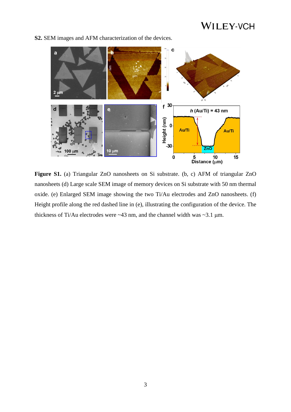

**S2.** SEM images and AFM characterization of the devices.

**Figure S1.** (a) Triangular ZnO nanosheets on Si substrate. (b, c) AFM of triangular ZnO nanosheets (d) Large scale SEM image of memory devices on Si substrate with 50 nm thermal oxide. (e) Enlarged SEM image showing the two Ti/Au electrodes and ZnO nanosheets. (f) Height profile along the red dashed line in (e), illustrating the configuration of the device. The thickness of Ti/Au electrodes were  $\sim$ 43 nm, and the channel width was  $\sim$ 3.1 µm.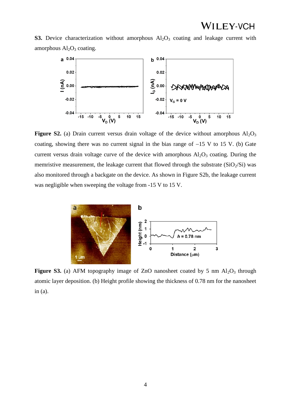**S3.** Device characterization without amorphous  $Al_2O_3$  coating and leakage current with amorphous  $Al<sub>2</sub>O<sub>3</sub>$  coating.



**Figure S2.** (a) Drain current versus drain voltage of the device without amorphous  $Al_2O_3$ coating, showing there was no current signal in the bias range of  $-15$  V to 15 V. (b) Gate current versus drain voltage curve of the device with amorphous  $Al_2O_3$  coating. During the memristive measurement, the leakage current that flowed through the substrate  $(SiO<sub>2</sub>/Si)$  was also monitored through a backgate on the device. As shown in Figure S2b, the leakage current was negligible when sweeping the voltage from -15 V to 15 V.



**Figure S3.** (a) AFM topography image of ZnO nanosheet coated by 5 nm  $\text{Al}_2\text{O}_3$  through atomic layer deposition. (b) Height profile showing the thickness of 0.78 nm for the nanosheet in (a).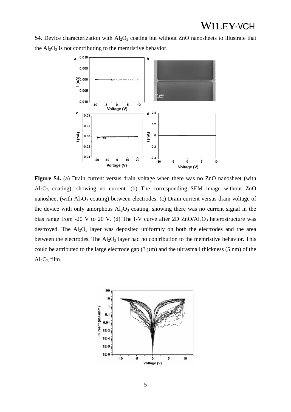**S4.** Device characterization with Al<sub>2</sub>O<sub>3</sub> coating but without ZnO nanosheets to illustrate that the  $Al_2O_3$  is not contributing to the memristive behavior.



Figure S4. (a) Drain current versus drain voltage when there was no ZnO nanosheet (with  $Al_2O_3$  coating), showing no current. (b) The corresponding SEM image without ZnO nanosheet (with Al<sub>2</sub>O<sub>3</sub> coating) between electrodes. (c) Drain current versus drain voltage of the device with only amorphous  $Al_2O_3$  coating, showing there was no current signal in the bias range from -20 V to 20 V. (d) The I-V curve after 2D  $ZnO/Al_2O_3$  heterostructure was destroyed. The  $Al_2O_3$  layer was deposited uniformly on both the electrodes and the area between the electrodes. The  $Al_2O_3$  layer had no contribution to the memristive behavior. This could be attributed to the large electrode gap  $(3 \mu m)$  and the ultrasmall thickness  $(5 \text{ nm})$  of the  $Al_2O_3$  film.

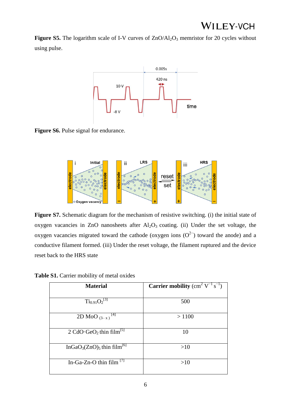**Figure S5.** The logarithm scale of I-V curves of  $ZnO/Al<sub>2</sub>O<sub>3</sub>$  memristor for 20 cycles without using pulse.



**Figure S6.** Pulse signal for endurance.



Figure S7. Schematic diagram for the mechanism of resistive switching. (i) the initial state of oxygen vacancies in ZnO nanosheets after  $Al_2O_3$  coating. (ii) Under the set voltage, the oxygen vacancies migrated toward the cathode (oxygen ions  $(O<sup>2−</sup>)$  toward the anode) and a conductive filament formed. (iii) Under the reset voltage, the filament ruptured and the device reset back to the HRS state

| <b>Material</b>                                                | <b>Carrier mobility</b> (cm <sup>2</sup> $V^{-1}$ s <sup>-1</sup> ) |  |  |
|----------------------------------------------------------------|---------------------------------------------------------------------|--|--|
|                                                                |                                                                     |  |  |
| $Ti_{0.91}O_2^{[3]}$                                           | 500                                                                 |  |  |
|                                                                |                                                                     |  |  |
| 2D MoO $(3-x)^{[4]}$                                           | >1100                                                               |  |  |
|                                                                |                                                                     |  |  |
| 2 CdO·GeO <sub>2</sub> thin film <sup>[5]</sup>                | 10                                                                  |  |  |
|                                                                |                                                                     |  |  |
| InGaO <sub>3</sub> (ZnO) <sub>5</sub> thin film <sup>[6]</sup> | >10                                                                 |  |  |
|                                                                |                                                                     |  |  |
| In-Ga-Zn-O thin film $^{[7]}$                                  | >10                                                                 |  |  |
|                                                                |                                                                     |  |  |

**Table S1.** Carrier mobility of metal oxides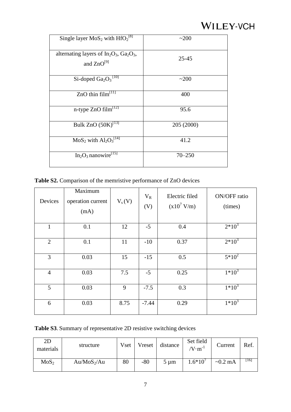| Single layer $MoS_2$ with $HfO_2^{[8]}$                          | ~200       |
|------------------------------------------------------------------|------------|
| alternating layers of $In_2O_3$ , $Ga_2O_3$ ,<br>and $ZnO^{[9]}$ | $25 - 45$  |
| Si-doped $Ga_2O_3$ <sup>[10]</sup>                               | ~200       |
| ZnO thin $\overline{\text{film}}^{\text{[11]}}$                  | 400        |
| n-type ZnO $film^{12}$                                           | 95.6       |
| Bulk ZnO $(50K)^{[13]}$                                          | 205 (2000) |
| $MoS2$ with $Al2O3[14]$                                          | 41.2       |
| $In2O3$ nanowire <sup>[15]</sup>                                 | $70 - 250$ |

**Table S2.** Comparison of the memristive performance of ZnO devices

| Devices        | Maximum<br>operation current<br>(mA) | $V_s(V)$ | $V_R$<br>(V) | Electric filed<br>$(x10^7 V/m)$ | ON/OFF ratio<br>(times) |
|----------------|--------------------------------------|----------|--------------|---------------------------------|-------------------------|
| 1              | 0.1                                  | 12       | $-5$         | 0.4                             | $2*10^3$                |
| $\overline{2}$ | 0.1                                  | 11       | $-10$        | 0.37                            | $2*10^3$                |
| 3              | 0.03                                 | 15       | $-15$        | 0.5                             | $5*10^2$                |
| $\overline{4}$ | 0.03                                 | 7.5      | $-5$         | 0.25                            | $1*10^3$                |
| 5              | 0.03                                 | 9        | $-7.5$       | 0.3                             | $1*10^3$                |
| 6              | 0.03                                 | 8.75     | $-7.44$      | 0.29                            | $1*10^3$                |

**Table S3**. Summary of representative 2D resistive switching devices

| 2D<br>materials  | structure     | Vset | Vreset | distance  | Set field<br>$\sqrt{V} \cdot m^{-1}$ | Current       | Ref. |
|------------------|---------------|------|--------|-----------|--------------------------------------|---------------|------|
| MoS <sub>2</sub> | $Au/MoS_2/Au$ | 80   | $-80$  | $5 \mu m$ | $1.6*10'$                            | $\sim 0.2$ mA | 16 I |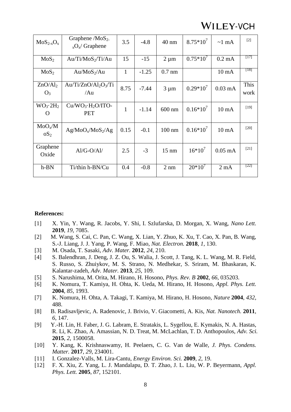| $MoS_{2-x}O_x$                         | Graphene / $MoS2$ .<br>$_{x}O_{x}/G$ raphene | 3.5          | $-4.8$  | $40 \text{ nm}$ | $8.75*10^7$ | $\sim$ 1 mA      | $[2]$        |
|----------------------------------------|----------------------------------------------|--------------|---------|-----------------|-------------|------------------|--------------|
| MoS <sub>2</sub>                       | $Au/Ti/MoS_2/Ti/Au$                          | 15           | $-15$   | $2 \mu m$       | $0.75*10^7$ | $0.2 \text{ mA}$ | $[17]$       |
| MoS <sub>2</sub>                       | $Au/MoS_2/Au$                                | $\mathbf{1}$ | $-1.25$ | $0.7$ nm        |             | $10 \text{ mA}$  | $[18]$       |
| ZnO/Al <sub>2</sub><br>$O_3$           | $Au/Ti/ZnO/Al_2O_3/Ti$<br>/Au                | 8.75         | $-7.44$ | $3 \mu m$       | $0.29*10^7$ | $0.03$ mA        | This<br>work |
| $WO_3 \cdot 2H_2$<br>O                 | $Cu/WO_3·H_2O/ITO-$<br><b>PET</b>            | $\mathbf{1}$ | $-1.14$ | $600$ nm        | $0.16*10^7$ | $10 \text{ mA}$  | $[19]$       |
| MoO <sub>x</sub> /M<br>OS <sub>2</sub> | $Ag/MoO_x/MoS_2/Ag$                          | 0.15         | $-0.1$  | $100$ nm        | $0.16*10^7$ | $10 \text{ mA}$  | $[20]$       |
| Graphene<br>Oxide                      | $Al/G-O/Al/$                                 | 2.5          | $-3$    | $15 \text{ nm}$ | $16*10^7$   | $0.05$ mA        | $[21]$       |
| $h-BN$                                 | Ti/thin h-BN/Cu                              | 0.4          | $-0.8$  | $2 \text{ nm}$  | $20*10^7$   | $2 \text{ mA}$   | $[22]$       |

#### **References:**

- [1] X. Yin, Y. Wang, R. Jacobs, Y. Shi, I. Szlufarska, D. Morgan, X. Wang, *Nano Lett.*  **2019**, *19*, 7085.
- [2] M. Wang, S. Cai, C. Pan, C. Wang, X. Lian, Y. Zhuo, K. Xu, T. Cao, X. Pan, B. Wang, S.-J. Liang, J. J. Yang, P. Wang, F. Miao, *Nat. Electron.* **2018**, *1*, 130.
- [3] M. Osada, T. Sasaki, *Adv. Mater.* **2012**, *24*, 210.
- [4] S. Balendhran, J. Deng, J. Z. Ou, S. Walia, J. Scott, J. Tang, K. L. Wang, M. R. Field, S. Russo, S. Zhuiykov, M. S. Strano, N. Medhekar, S. Sriram, M. Bhaskaran, K. Kalantar-zadeh, *Adv. Mater.* **2013**, *25*, 109.
- [5] S. Narushima, M. Orita, M. Hirano, H. Hosono, *Phys. Rev. B* **2002**, *66*, 035203.
- [6] K. Nomura, T. Kamiya, H. Ohta, K. Ueda, M. Hirano, H. Hosono, *Appl. Phys. Lett.*  **2004**, *85*, 1993.
- [7] K. Nomura, H. Ohta, A. Takagi, T. Kamiya, M. Hirano, H. Hosono, *Nature* **2004**, *432*, 488.
- [8] B. Radisavljevic, A. Radenovic, J. Brivio, V. Giacometti, A. Kis, *Nat. Nanotech.* **2011**, *6*, 147.
- [9] Y.-H. Lin, H. Faber, J. G. Labram, E. Stratakis, L. Sygellou, E. Kymakis, N. A. Hastas, R. Li, K. Zhao, A. Amassian, N. D. Treat, M. McLachlan, T. D. Anthopoulos, *Adv. Sci.*  **2015**, *2*, 1500058.
- [10] Y. Kang, K. Krishnaswamy, H. Peelaers, C. G. Van de Walle, *J. Phys. Condens. Matter.* **2017**, *29*, 234001.
- [11] I. Gonzalez-Valls, M. Lira-Cantu, *Energy Environ. Sci.* **2009**, *2*, 19.
- [12] F. X. Xiu, Z. Yang, L. J. Mandalapu, D. T. Zhao, J. L. Liu, W. P. Beyermann, *Appl. Phys. Lett.* **2005**, *87*, 152101.